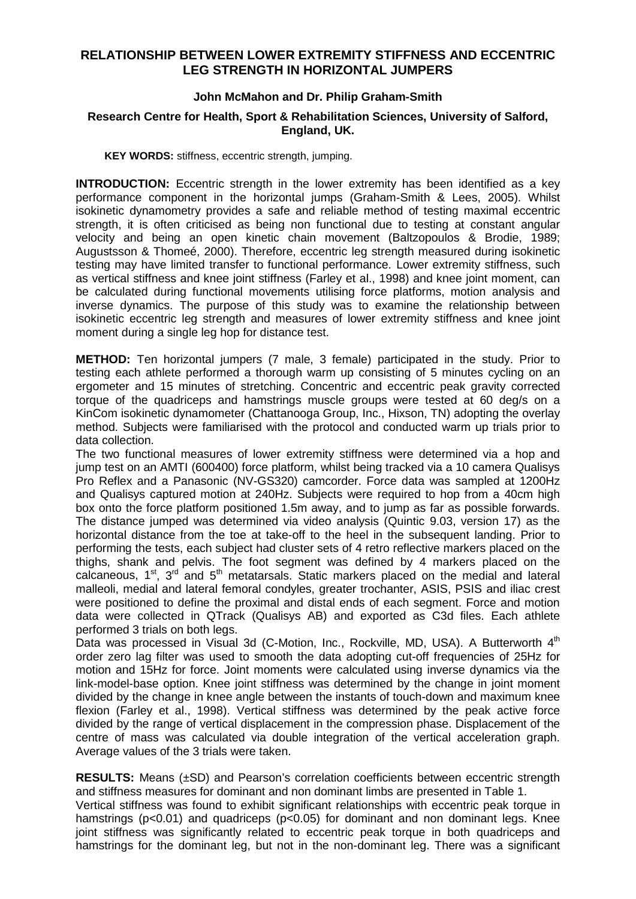## **RELATIONSHIP BETWEEN LOWER EXTREMITY STIFFNESS AND ECCENTRIC LEG STRENGTH IN HORIZONTAL JUMPERS**

## **John McMahon and Dr. Philip Graham-Smith**

## **Research Centre for Health, Sport & Rehabilitation Sciences, University of Salford, England, UK.**

**KEY WORDS:** stiffness, eccentric strength, jumping.

**INTRODUCTION:** Eccentric strength in the lower extremity has been identified as a key performance component in the horizontal jumps (Graham-Smith & Lees, 2005). Whilst isokinetic dynamometry provides a safe and reliable method of testing maximal eccentric strength, it is often criticised as being non functional due to testing at constant angular velocity and being an open kinetic chain movement (Baltzopoulos & Brodie, 1989; Augustsson & Thomeé, 2000). Therefore, eccentric leg strength measured during isokinetic testing may have limited transfer to functional performance. Lower extremity stiffness, such as vertical stiffness and knee joint stiffness (Farley et al., 1998) and knee joint moment, can be calculated during functional movements utilising force platforms, motion analysis and inverse dynamics. The purpose of this study was to examine the relationship between isokinetic eccentric leg strength and measures of lower extremity stiffness and knee joint moment during a single leg hop for distance test.

**METHOD:** Ten horizontal jumpers (7 male, 3 female) participated in the study. Prior to testing each athlete performed a thorough warm up consisting of 5 minutes cycling on an ergometer and 15 minutes of stretching. Concentric and eccentric peak gravity corrected torque of the quadriceps and hamstrings muscle groups were tested at 60 deg/s on a KinCom isokinetic dynamometer (Chattanooga Group, Inc., Hixson, TN) adopting the overlay method. Subjects were familiarised with the protocol and conducted warm up trials prior to data collection.

The two functional measures of lower extremity stiffness were determined via a hop and jump test on an AMTI (600400) force platform, whilst being tracked via a 10 camera Qualisys Pro Reflex and a Panasonic (NV-GS320) camcorder. Force data was sampled at 1200Hz and Qualisys captured motion at 240Hz. Subjects were required to hop from a 40cm high box onto the force platform positioned 1.5m away, and to jump as far as possible forwards. The distance jumped was determined via video analysis (Quintic 9.03, version 17) as the horizontal distance from the toe at take-off to the heel in the subsequent landing. Prior to performing the tests, each subject had cluster sets of 4 retro reflective markers placed on the thighs, shank and pelvis. The foot segment was defined by 4 markers placed on the calcaneous,  $1^{st}$ ,  $3^{rd}$  and  $5^{th}$  metatarsals. Static markers placed on the medial and lateral malleoli, medial and lateral femoral condyles, greater trochanter, ASIS, PSIS and iliac crest were positioned to define the proximal and distal ends of each segment. Force and motion data were collected in QTrack (Qualisys AB) and exported as C3d files. Each athlete performed 3 trials on both legs.

Data was processed in Visual 3d (C-Motion, Inc., Rockville, MD, USA). A Butterworth 4<sup>th</sup> order zero lag filter was used to smooth the data adopting cut-off frequencies of 25Hz for motion and 15Hz for force. Joint moments were calculated using inverse dynamics via the link-model-base option. Knee joint stiffness was determined by the change in joint moment divided by the change in knee angle between the instants of touch-down and maximum knee flexion (Farley et al., 1998). Vertical stiffness was determined by the peak active force divided by the range of vertical displacement in the compression phase. Displacement of the centre of mass was calculated via double integration of the vertical acceleration graph. Average values of the 3 trials were taken.

**RESULTS:** Means (±SD) and Pearson's correlation coefficients between eccentric strength and stiffness measures for dominant and non dominant limbs are presented in Table 1. Vertical stiffness was found to exhibit significant relationships with eccentric peak torque in hamstrings (p<0.01) and quadriceps (p<0.05) for dominant and non dominant legs. Knee joint stiffness was significantly related to eccentric peak torque in both quadriceps and hamstrings for the dominant leg, but not in the non-dominant leg. There was a significant